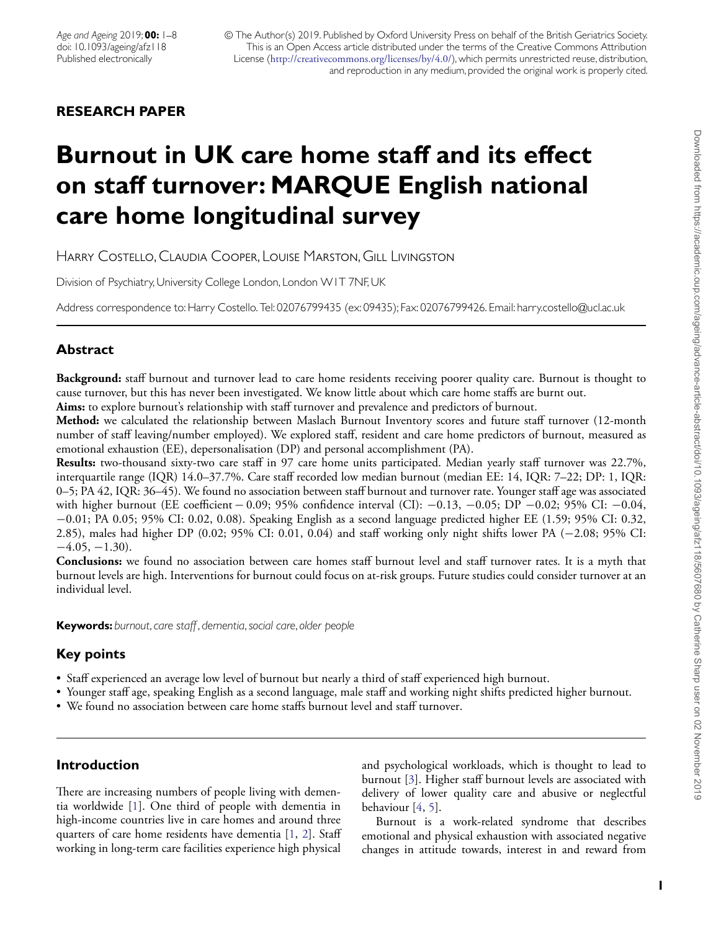# **RESEARCH PAPER**

# **Burnout in UK care home staff and its effect on staff turnover: MARQUE English national care home longitudinal survey**

Harry Costello, Claudia Cooper, Louise Marston, Gill Livingston

Division of Psychiatry, University College London, London W1T 7NF, UK

Address correspondence to: Harry Costello. Tel: 02076799435 (ex: 09435); Fax: 02076799426. Email: harry.costello@ucl.ac.uk

# **Abstract**

**Background:** staff burnout and turnover lead to care home residents receiving poorer quality care. Burnout is thought to cause turnover, but this has never been investigated. We know little about which care home staffs are burnt out.

**Aims:** to explore burnout's relationship with staff turnover and prevalence and predictors of burnout.

**Method:** we calculated the relationship between Maslach Burnout Inventory scores and future staff turnover (12-month number of staff leaving/number employed). We explored staff, resident and care home predictors of burnout, measured as emotional exhaustion (EE), depersonalisation (DP) and personal accomplishment (PA).

**Results:** two-thousand sixty-two care staff in 97 care home units participated. Median yearly staff turnover was 22.7%, interquartile range (IQR) 14.0–37.7%. Care staff recorded low median burnout (median EE: 14, IQR: 7–22; DP: 1, IQR: 0–5; PA 42, IQR: 36–45). We found no association between staff burnout and turnover rate. Younger staff age was associated with higher burnout (EE coefficient − 0.09; 95% confidence interval (CI): -0.13, -0.05; DP -0.02; 95% CI: -0.04, −0.01; PA 0.05; 95% CI: 0.02, 0.08). Speaking English as a second language predicted higher EE (1.59; 95% CI: 0.32, 2.85), males had higher DP (0.02; 95% CI: 0.01, 0.04) and staff working only night shifts lower PA (−2.08; 95% CI:  $-4.05, -1.30$ .

**Conclusions:** we found no association between care homes staff burnout level and staff turnover rates. It is a myth that burnout levels are high. Interventions for burnout could focus on at-risk groups. Future studies could consider turnover at an individual level.

**Keywords:** *burnout*,*care staff*, *dementia*,*social care*, *older people*

# **Key points**

- Staff experienced an average low level of burnout but nearly a third of staff experienced high burnout.
- Younger staff age, speaking English as a second language, male staff and working night shifts predicted higher burnout.
- We found no association between care home staffs burnout level and staff turnover.

# **Introduction**

There are increasing numbers of people living with dementia worldwide [\[1\]](#page-6-0). One third of people with dementia in high-income countries live in care homes and around three quarters of care home residents have dementia [\[1,](#page-6-0) [2\]](#page-6-1). Staff working in long-term care facilities experience high physical

and psychological workloads, which is thought to lead to burnout [\[3\]](#page-6-2). Higher staff burnout levels are associated with delivery of lower quality care and abusive or neglectful behaviour [\[4,](#page-6-3) [5\]](#page-6-4).

Burnout is a work-related syndrome that describes emotional and physical exhaustion with associated negative changes in attitude towards, interest in and reward from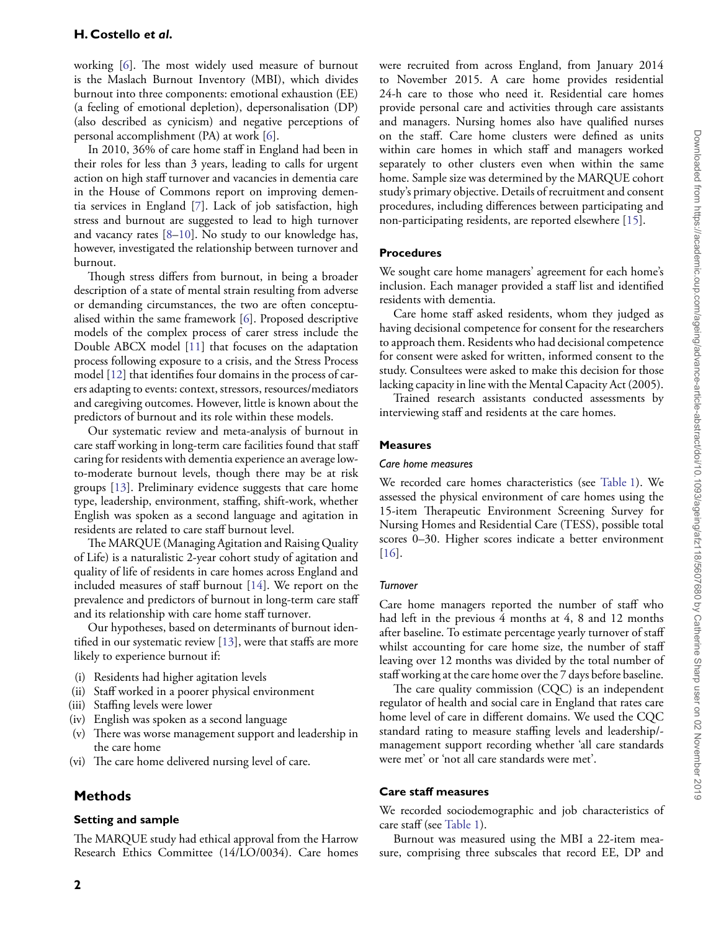working [\[6\]](#page-6-5). The most widely used measure of burnout is the Maslach Burnout Inventory (MBI), which divides burnout into three components: emotional exhaustion (EE) (a feeling of emotional depletion), depersonalisation (DP) (also described as cynicism) and negative perceptions of personal accomplishment (PA) at work [\[6\]](#page-6-5).

In 2010, 36% of care home staff in England had been in their roles for less than 3 years, leading to calls for urgent action on high staff turnover and vacancies in dementia care in the House of Commons report on improving dementia services in England [\[7\]](#page-6-6). Lack of job satisfaction, high stress and burnout are suggested to lead to high turnover and vacancy rates [\[8](#page-6-7)[–10\]](#page-6-8). No study to our knowledge has, however, investigated the relationship between turnover and burnout.

Though stress differs from burnout, in being a broader description of a state of mental strain resulting from adverse or demanding circumstances, the two are often conceptualised within the same framework [\[6\]](#page-6-5). Proposed descriptive models of the complex process of carer stress include the Double ABCX model [\[11\]](#page-6-9) that focuses on the adaptation process following exposure to a crisis, and the Stress Process model [\[12\]](#page-6-10) that identifies four domains in the process of carers adapting to events: context, stressors, resources/mediators and caregiving outcomes. However, little is known about the predictors of burnout and its role within these models.

Our systematic review and meta-analysis of burnout in care staff working in long-term care facilities found that staff caring for residents with dementia experience an average lowto-moderate burnout levels, though there may be at risk groups [\[13\]](#page-6-11). Preliminary evidence suggests that care home type, leadership, environment, staffing, shift-work, whether English was spoken as a second language and agitation in residents are related to care staff burnout level.

The MARQUE (Managing Agitation and Raising Quality of Life) is a naturalistic 2-year cohort study of agitation and quality of life of residents in care homes across England and included measures of staff burnout [\[14\]](#page-6-12). We report on the prevalence and predictors of burnout in long-term care staff and its relationship with care home staff turnover.

Our hypotheses, based on determinants of burnout identified in our systematic review [\[13\]](#page-6-11), were that staffs are more likely to experience burnout if:

- (i) Residents had higher agitation levels
- (ii) Staff worked in a poorer physical environment
- (iii) Staffing levels were lower
- (iv) English was spoken as a second language
- (v) There was worse management support and leadership in the care home
- (vi) The care home delivered nursing level of care.

# **Methods**

#### **Setting and sample**

The MARQUE study had ethical approval from the Harrow Research Ethics Committee (14/LO/0034). Care homes

were recruited from across England, from January 2014 to November 2015. A care home provides residential 24-h care to those who need it. Residential care homes provide personal care and activities through care assistants and managers. Nursing homes also have qualified nurses on the staff. Care home clusters were defined as units within care homes in which staff and managers worked separately to other clusters even when within the same home. Sample size was determined by the MARQUE cohort study's primary objective. Details of recruitment and consent procedures, including differences between participating and non-participating residents, are reported elsewhere [\[15\]](#page-6-13).

#### **Procedures**

We sought care home managers' agreement for each home's inclusion. Each manager provided a staff list and identified residents with dementia.

Care home staff asked residents, whom they judged as having decisional competence for consent for the researchers to approach them. Residents who had decisional competence for consent were asked for written, informed consent to the study. Consultees were asked to make this decision for those lacking capacity in line with the Mental Capacity Act (2005).

Trained research assistants conducted assessments by interviewing staff and residents at the care homes.

#### **Measures**

#### *Care home measures*

We recorded care homes characteristics (see [Table 1\)](#page-2-0). We assessed the physical environment of care homes using the 15-item Therapeutic Environment Screening Survey for Nursing Homes and Residential Care (TESS), possible total scores 0–30. Higher scores indicate a better environment [\[16\]](#page-7-0).

#### *Turnover*

Care home managers reported the number of staff who had left in the previous 4 months at 4, 8 and 12 months after baseline. To estimate percentage yearly turnover of staff whilst accounting for care home size, the number of staff leaving over 12 months was divided by the total number of staff working at the care home over the 7 days before baseline.

The care quality commission (CQC) is an independent regulator of health and social care in England that rates care home level of care in different domains. We used the CQC standard rating to measure staffing levels and leadership/ management support recording whether 'all care standards were met' or 'not all care standards were met'.

#### **Care staff measures**

We recorded sociodemographic and job characteristics of care staff (see [Table 1\)](#page-2-0).

Burnout was measured using the MBI a 22-item measure, comprising three subscales that record EE, DP and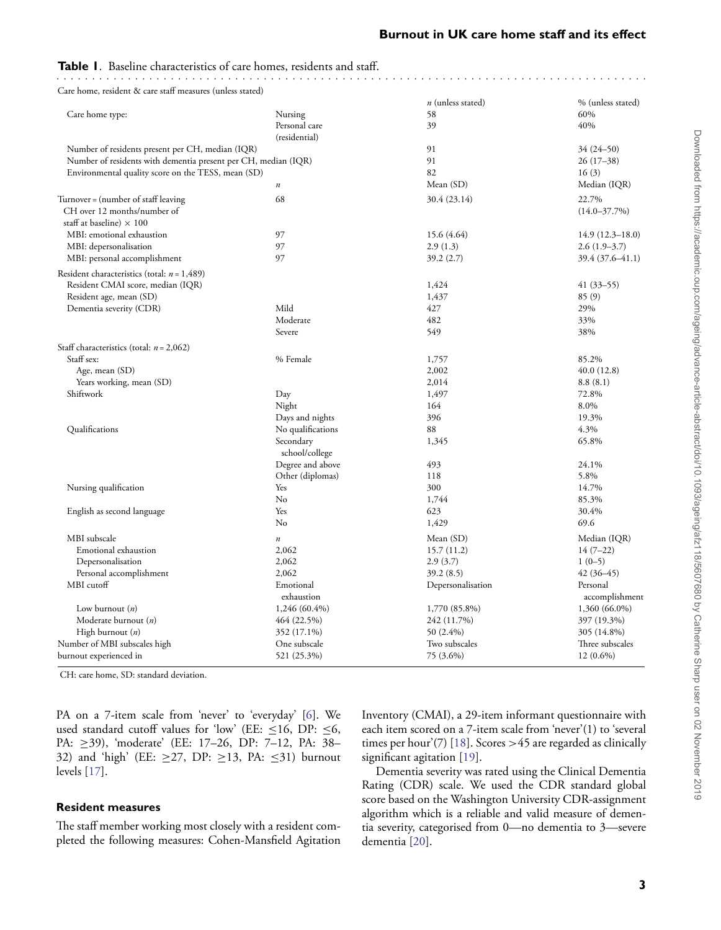# <span id="page-2-0"></span>**Table 1.** Baseline characteristics of care homes, residents and staff.

Care home, resident & care staff measures (unless stated)

|                                                                |                   | $n$ (unless stated) | % (unless stated)   |
|----------------------------------------------------------------|-------------------|---------------------|---------------------|
| Care home type:                                                | Nursing           | 58                  | 60%                 |
|                                                                | Personal care     | 39                  | 40%                 |
|                                                                | (residential)     |                     |                     |
| Number of residents present per CH, median (IQR)               |                   | 91                  | 34 (24-50)          |
| Number of residents with dementia present per CH, median (IQR) |                   | 91                  | $26(17-38)$         |
| Environmental quality score on the TESS, mean (SD)             |                   | 82                  | 16(3)               |
|                                                                | $\boldsymbol{n}$  | Mean (SD)           | Median (IQR)        |
| Turnover = (number of staff leaving                            | 68                | 30.4 (23.14)        | 22.7%               |
| CH over 12 months/number of                                    |                   |                     | $(14.0 - 37.7%)$    |
| staff at baseline) $\times$ 100                                |                   |                     |                     |
| MBI: emotional exhaustion                                      | 97                | 15.6 (4.64)         | $14.9(12.3 - 18.0)$ |
| MBI: depersonalisation                                         | 97                | 2.9(1.3)            | $2.6(1.9-3.7)$      |
| MBI: personal accomplishment                                   | 97                | 39.2(2.7)           | 39.4 (37.6–41.1)    |
| Resident characteristics (total: $n = 1,489$ )                 |                   |                     |                     |
| Resident CMAI score, median (IQR)                              |                   | 1,424               | $41(33 - 55)$       |
| Resident age, mean (SD)                                        |                   | 1,437               | 85(9)               |
| Dementia severity (CDR)                                        | Mild              | 427                 | 29%                 |
|                                                                | Moderate          | 482                 | 33%                 |
|                                                                | Severe            | 549                 | 38%                 |
| Staff characteristics (total: $n = 2,062$ )                    |                   |                     |                     |
| Staff sex:                                                     | % Female          | 1,757               | 85.2%               |
| Age, mean (SD)                                                 |                   | 2,002               | 40.0 (12.8)         |
| Years working, mean (SD)                                       |                   | 2,014               | 8.8(8.1)            |
| Shiftwork                                                      | Day               | 1,497               | 72.8%               |
|                                                                | Night             | 164                 | 8.0%                |
|                                                                | Days and nights   | 396                 | 19.3%               |
| Qualifications                                                 | No qualifications | 88                  | 4.3%                |
|                                                                | Secondary         | 1,345               | 65.8%               |
|                                                                | school/college    |                     |                     |
|                                                                | Degree and above  | 493                 | 24.1%               |
|                                                                | Other (diplomas)  | 118                 | 5.8%                |
| Nursing qualification                                          | Yes               | 300                 | 14.7%               |
|                                                                | No                | 1,744               | 85.3%               |
| English as second language                                     | Yes               | 623                 | 30.4%               |
|                                                                | No                | 1,429               | 69.6                |
| MBI subscale                                                   | $\boldsymbol{n}$  | Mean (SD)           | Median (IQR)        |
| Emotional exhaustion                                           | 2,062             | 15.7(11.2)          | $14(7-22)$          |
| Depersonalisation                                              | 2,062             | 2.9(3.7)            | $1(0-5)$            |
| Personal accomplishment                                        | 2,062             | 39.2(8.5)           | $42(36-45)$         |
| MBI cutoff                                                     | Emotional         | Depersonalisation   | Personal            |
|                                                                | exhaustion        |                     | accomplishment      |
| Low burnout $(n)$                                              | $1,246(60.4\%)$   | 1,770 (85.8%)       | 1,360 (66.0%)       |
| Moderate burnout $(n)$                                         | 464 (22.5%)       | 242 (11.7%)         | 397 (19.3%)         |
| High burnout $(n)$                                             | 352 (17.1%)       | 50 (2.4%)           | 305 (14.8%)         |
| Number of MBI subscales high                                   | One subscale      | Two subscales       | Three subscales     |
| burnout experienced in                                         | 521 (25.3%)       | 75 (3.6%)           | $12(0.6\%)$         |

CH: care home, SD: standard deviation.

PA on a 7-item scale from 'never' to 'everyday' [\[6\]](#page-6-5). We used standard cutoff values for 'low' (EE:  $\leq$ 16, DP:  $\leq$ 6, PA: ≥39), 'moderate' (EE: 17-26, DP: 7-12, PA: 38-32) and 'high' (EE:  $\geq$ 27, DP:  $\geq$ 13, PA:  $\leq$ 31) burnout levels [\[17\]](#page-7-1).

#### **Resident measures**

The staff member working most closely with a resident completed the following measures: Cohen-Mansfield Agitation Inventory (CMAI), a 29-item informant questionnaire with each item scored on a 7-item scale from 'never'(1) to 'several times per hour'(7) [\[18\]](#page-7-2). Scores *>*45 are regarded as clinically significant agitation [\[19\]](#page-7-3).

Dementia severity was rated using the Clinical Dementia Rating (CDR) scale. We used the CDR standard global score based on the Washington University CDR-assignment algorithm which is a reliable and valid measure of dementia severity, categorised from 0—no dementia to 3—severe dementia [\[20\]](#page-7-4).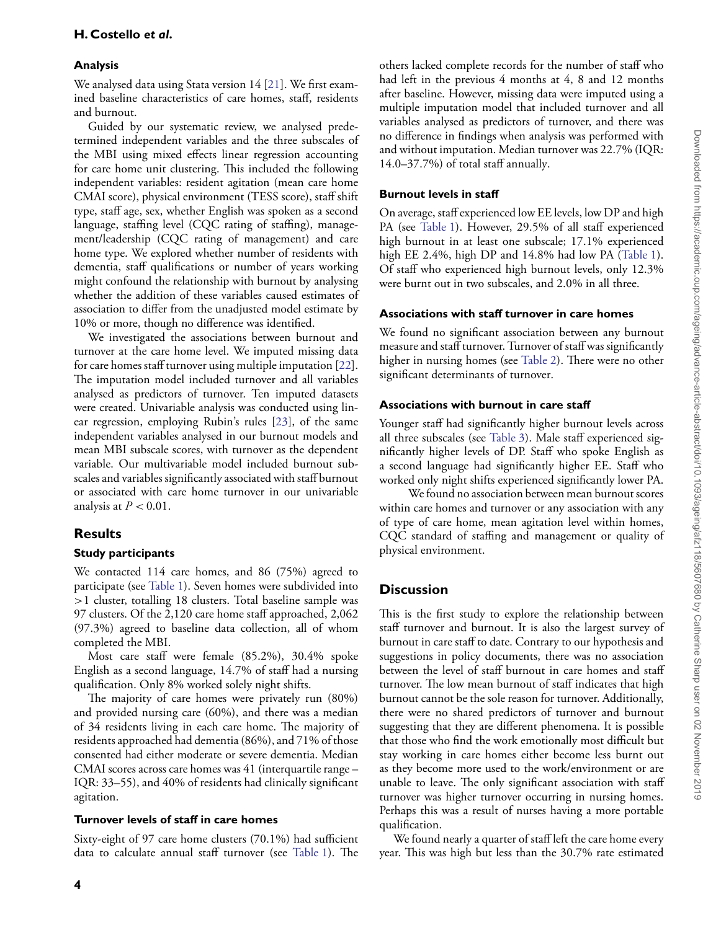#### **Analysis**

We analysed data using Stata version 14 [\[21\]](#page-7-5). We first examined baseline characteristics of care homes, staff, residents and burnout.

Guided by our systematic review, we analysed predetermined independent variables and the three subscales of the MBI using mixed effects linear regression accounting for care home unit clustering. This included the following independent variables: resident agitation (mean care home CMAI score), physical environment (TESS score), staff shift type, staff age, sex, whether English was spoken as a second language, staffing level (CQC rating of staffing), management/leadership (CQC rating of management) and care home type. We explored whether number of residents with dementia, staff qualifications or number of years working might confound the relationship with burnout by analysing whether the addition of these variables caused estimates of association to differ from the unadjusted model estimate by 10% or more, though no difference was identified.

We investigated the associations between burnout and turnover at the care home level. We imputed missing data for care homes staff turnover using multiple imputation [\[22\]](#page-7-6). The imputation model included turnover and all variables analysed as predictors of turnover. Ten imputed datasets were created. Univariable analysis was conducted using linear regression, employing Rubin's rules [\[23\]](#page-7-7), of the same independent variables analysed in our burnout models and mean MBI subscale scores, with turnover as the dependent variable. Our multivariable model included burnout subscales and variables significantly associated with staff burnout or associated with care home turnover in our univariable analysis at  $P < 0.01$ .

# **Results**

#### **Study participants**

We contacted 114 care homes, and 86 (75%) agreed to participate (see [Table 1\)](#page-2-0). Seven homes were subdivided into *>*1 cluster, totalling 18 clusters. Total baseline sample was 97 clusters. Of the 2,120 care home staff approached, 2,062 (97.3%) agreed to baseline data collection, all of whom completed the MBI.

Most care staff were female (85.2%), 30.4% spoke English as a second language, 14.7% of staff had a nursing qualification. Only 8% worked solely night shifts.

The majority of care homes were privately run (80%) and provided nursing care (60%), and there was a median of 34 residents living in each care home. The majority of residents approached had dementia (86%), and 71% of those consented had either moderate or severe dementia. Median CMAI scores across care homes was 41 (interquartile range – IQR: 33–55), and 40% of residents had clinically significant agitation.

#### **Turnover levels of staff in care homes**

Sixty-eight of 97 care home clusters (70.1%) had sufficient data to calculate annual staff turnover (see [Table 1\)](#page-2-0). The

others lacked complete records for the number of staff who had left in the previous 4 months at 4, 8 and 12 months after baseline. However, missing data were imputed using a multiple imputation model that included turnover and all variables analysed as predictors of turnover, and there was no difference in findings when analysis was performed with and without imputation. Median turnover was 22.7% (IQR: 14.0–37.7%) of total staff annually.

#### **Burnout levels in staff**

On average, staff experienced low EE levels, low DP and high PA (see [Table 1\)](#page-2-0). However, 29.5% of all staff experienced high burnout in at least one subscale; 17.1% experienced high EE 2.4%, high DP and 14.8% had low PA [\(Table 1\)](#page-2-0). Of staff who experienced high burnout levels, only 12.3% were burnt out in two subscales, and 2.0% in all three.

#### **Associations with staff turnover in care homes**

We found no significant association between any burnout measure and staff turnover. Turnover of staff was significantly higher in nursing homes (see [Table 2\)](#page-5-0). There were no other significant determinants of turnover.

#### **Associations with burnout in care staff**

Younger staff had significantly higher burnout levels across all three subscales (see [Table 3\)](#page-4-0). Male staff experienced significantly higher levels of DP. Staff who spoke English as a second language had significantly higher EE. Staff who worked only night shifts experienced significantly lower PA.

We found no association between mean burnout scores within care homes and turnover or any association with any of type of care home, mean agitation level within homes, CQC standard of staffing and management or quality of physical environment.

# **Discussion**

This is the first study to explore the relationship between staff turnover and burnout. It is also the largest survey of burnout in care staff to date. Contrary to our hypothesis and suggestions in policy documents, there was no association between the level of staff burnout in care homes and staff turnover. The low mean burnout of staff indicates that high burnout cannot be the sole reason for turnover. Additionally, there were no shared predictors of turnover and burnout suggesting that they are different phenomena. It is possible that those who find the work emotionally most difficult but stay working in care homes either become less burnt out as they become more used to the work/environment or are unable to leave. The only significant association with staff turnover was higher turnover occurring in nursing homes. Perhaps this was a result of nurses having a more portable qualification.

We found nearly a quarter of staff left the care home every year. This was high but less than the 30.7% rate estimated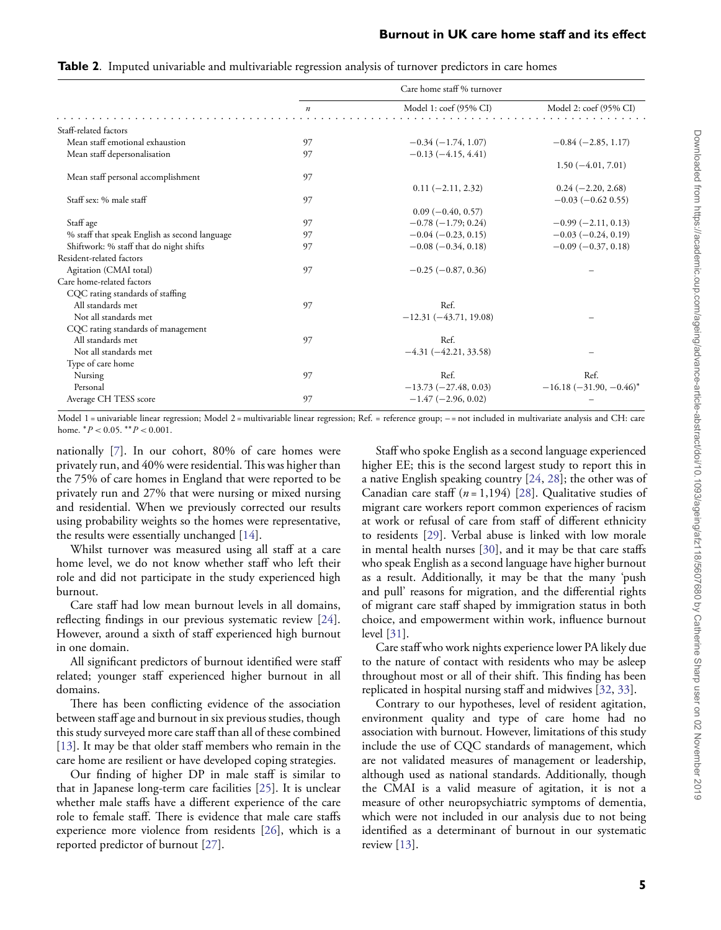|                                               |                  | Care home staff % turnover |                               |
|-----------------------------------------------|------------------|----------------------------|-------------------------------|
|                                               | $\boldsymbol{n}$ | Model 1: coef (95% CI)     | Model 2: coef (95% CI)        |
| Staff-related factors                         |                  |                            |                               |
| Mean staff emotional exhaustion               | 97               | $-0.34(-1.74, 1.07)$       | $-0.84(-2.85, 1.17)$          |
| Mean staff depersonalisation                  | 97               | $-0.13(-4.15, 4.41)$       |                               |
|                                               |                  |                            | $1.50(-4.01, 7.01)$           |
| Mean staff personal accomplishment            | 97               |                            |                               |
|                                               |                  | $0.11 (-2.11, 2.32)$       | $0.24 (-2.20, 2.68)$          |
| Staff sex: % male staff                       | 97               |                            | $-0.03$ ( $-0.62$ 0.55)       |
|                                               |                  | $0.09(-0.40, 0.57)$        |                               |
| Staff age                                     | 97               | $-0.78(-1.79; 0.24)$       | $-0.99(-2.11, 0.13)$          |
| % staff that speak English as second language | 97               | $-0.04(-0.23, 0.15)$       | $-0.03(-0.24, 0.19)$          |
| Shiftwork: % staff that do night shifts       | 97               | $-0.08$ ( $-0.34$ , 0.18)  | $-0.09(-0.37, 0.18)$          |
| Resident-related factors                      |                  |                            |                               |
| Agitation (CMAI total)                        | 97               | $-0.25(-0.87, 0.36)$       |                               |
| Care home-related factors                     |                  |                            |                               |
| CQC rating standards of staffing              |                  |                            |                               |
| All standards met                             | 97               | Ref.                       |                               |
| Not all standards met                         |                  | $-12.31(-43.71, 19.08)$    |                               |
| CQC rating standards of management            |                  |                            |                               |
| All standards met                             | 97               | Ref.                       |                               |
| Not all standards met                         |                  | $-4.31 (-42.21, 33.58)$    |                               |
| Type of care home                             |                  |                            |                               |
| Nursing                                       | 97               | Ref.                       | Ref.                          |
| Personal                                      |                  | $-13.73(-27.48, 0.03)$     | $-16.18$ ( $-31.90, -0.46$ )* |
| Average CH TESS score                         | 97               | $-1.47(-2.96, 0.02)$       |                               |
|                                               |                  |                            |                               |

<span id="page-4-0"></span>**Table 2.** Imputed univariable and multivariable regression analysis of turnover predictors in care homes

Model 1 = univariable linear regression; Model 2 = multivariable linear regression; Ref. = reference group; - = not included in multivariate analysis and CH: care home. ∗*P <* 0.05. ∗∗*P <* 0.001.

nationally [\[7\]](#page-6-6). In our cohort, 80% of care homes were privately run, and 40% were residential.This was higher than the 75% of care homes in England that were reported to be privately run and 27% that were nursing or mixed nursing and residential. When we previously corrected our results using probability weights so the homes were representative, the results were essentially unchanged [\[14\]](#page-6-12).

Whilst turnover was measured using all staff at a care home level, we do not know whether staff who left their role and did not participate in the study experienced high burnout.

Care staff had low mean burnout levels in all domains, reflecting findings in our previous systematic review [\[24\]](#page-7-8). However, around a sixth of staff experienced high burnout in one domain.

All significant predictors of burnout identified were staff related; younger staff experienced higher burnout in all domains.

There has been conflicting evidence of the association between staff age and burnout in six previous studies, though this study surveyed more care staff than all of these combined [\[13\]](#page-6-11). It may be that older staff members who remain in the care home are resilient or have developed coping strategies.

Our finding of higher DP in male staff is similar to that in Japanese long-term care facilities [\[25\]](#page-7-9). It is unclear whether male staffs have a different experience of the care role to female staff. There is evidence that male care staffs experience more violence from residents [\[26\]](#page-7-10), which is a reported predictor of burnout [\[27\]](#page-7-11).

Staff who spoke English as a second language experienced higher EE; this is the second largest study to report this in a native English speaking country [\[24,](#page-7-8) [28\]](#page-7-12); the other was of Canadian care staff (*n* = 1,194) [\[28\]](#page-7-12). Qualitative studies of migrant care workers report common experiences of racism at work or refusal of care from staff of different ethnicity to residents [\[29\]](#page-7-13). Verbal abuse is linked with low morale in mental health nurses [\[30\]](#page-7-14), and it may be that care staffs who speak English as a second language have higher burnout as a result. Additionally, it may be that the many 'push and pull' reasons for migration, and the differential rights of migrant care staff shaped by immigration status in both choice, and empowerment within work, influence burnout level [\[31\]](#page-7-15).

Care staff who work nights experience lower PA likely due to the nature of contact with residents who may be asleep throughout most or all of their shift. This finding has been replicated in hospital nursing staff and midwives [\[32,](#page-7-16) [33\]](#page-7-17).

Contrary to our hypotheses, level of resident agitation, environment quality and type of care home had no association with burnout. However, limitations of this study include the use of CQC standards of management, which are not validated measures of management or leadership, although used as national standards. Additionally, though the CMAI is a valid measure of agitation, it is not a measure of other neuropsychiatric symptoms of dementia, which were not included in our analysis due to not being identified as a determinant of burnout in our systematic review [\[13\]](#page-6-11).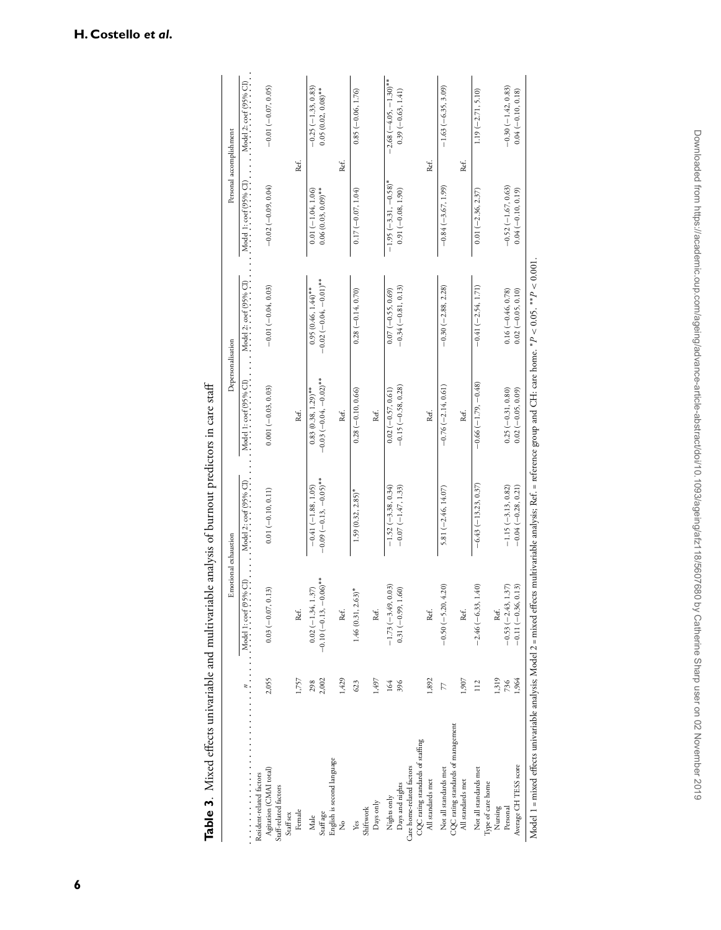|                                                                                                                                                                  |              | Emotional exhaustion                              |                                                 | Depersonalisation                                 |                                                   | Personal accomplishment                       |                                                   |
|------------------------------------------------------------------------------------------------------------------------------------------------------------------|--------------|---------------------------------------------------|-------------------------------------------------|---------------------------------------------------|---------------------------------------------------|-----------------------------------------------|---------------------------------------------------|
|                                                                                                                                                                  |              |                                                   | Model 2: coef (95% CI)                          | Model 1: coef (95% CI)                            | Model 2: coef (95% CI)                            | Model 1: coef (95% CI)                        | Model 2: $\operatorname{coef}(95\% \text{ Cl})$ . |
| Resident-related factors                                                                                                                                         |              |                                                   |                                                 |                                                   |                                                   |                                               |                                                   |
| Agitation (CMAI total)<br>Staff-related factors<br>Staff sex                                                                                                     | 2,055        | $0.03 (-0.07, 0.13)$                              | $0.01 (-0.10, 0.11)$                            | $0.001 (-0.03, 0.03)$                             | $-0.01 (-0.04, 0.03)$                             | $-0.02(-0.09, 0.04)$                          | $-0.01(-0.07, 0.05)$                              |
| Female                                                                                                                                                           | 1,757        | Ref.                                              |                                                 | Ref.                                              |                                                   | Ref.                                          |                                                   |
| Staff age<br>Male                                                                                                                                                | 2,002<br>298 | $-0.10 (-0.13, -0.06)$ **<br>$0.02 (-1.34, 1.37)$ | $-0.09(-0.13,-0.05)$ **<br>$-0.41(-1.88, 1.05)$ | $-0.03(-0.04, -0.02)$ **<br>$0.83(0.38, 1.29)$ ** | $-0.02 (-0.04, -0.01)^*$<br>$0.95(0.46, 1.44)$ ** | $0.06(0.03, 0.09)$ **<br>$0.01 (-1.04, 1.06)$ | $-0.25(-1.33, 0.83)$<br>$0.05(0.02, 0.08)$ **     |
| English is second language<br>ż                                                                                                                                  | 1,429        | Ref.                                              |                                                 | Ref.                                              |                                                   | Ref.                                          |                                                   |
| Yes                                                                                                                                                              | 623          | $1.46(0.31, 2.63)^*$                              | $1.59(0.32, 2.85)^*$                            | $0.28 (-0.10, 0.66)$                              | $0.28 (-0.14, 0.70)$                              | $0.17 (-0.07, 1.04)$                          | $0.85 (-0.06, 1.76)$                              |
| Days only<br>Shiftwork                                                                                                                                           | 1,497        | Ref.                                              |                                                 | Ref.                                              |                                                   |                                               |                                                   |
| Nights only                                                                                                                                                      | 164          | $-1.73(-3.49, 0.03)$                              | $-1.52(-3.38, 0.34)$                            | $0.02 (-0.57, 0.61)$                              | $0.07 (-0.55, 0.69)$                              | $-1.95 (-3.31, -0.58)$ *                      | $-2.68 (-4.05, -1.30)^{**}$                       |
| Days and nights                                                                                                                                                  | 396          | $0.31 (-0.99, 1.60)$                              | $-0.07(-1.47, 1.33)$                            | $-0.15 (-0.58, 0.28)$                             | $-0.34(-0.81, 0.13)$                              | $0.91(-0.08, 1.90)$                           | $0.39(-0.63, 1.41)$                               |
| CQC rating standards of staffing<br>Care home-related factors                                                                                                    |              |                                                   |                                                 |                                                   |                                                   |                                               |                                                   |
| All standards met                                                                                                                                                | 1,892        | Ref.                                              |                                                 | Ref.                                              |                                                   | Ref.                                          |                                                   |
| CQC rating standards of management<br>Not all standards met                                                                                                      | 77           | $-0.50(-5.20, 4.20)$                              | 5.81 $(-2.46, 14.07)$                           | $-0.76$ $(-2.14, 0.61)$                           | $-0.30(-2.88, 2.28)$                              | $-0.84(-3.67, 1.99)$                          | $-1.63(-6.35, 3.09)$                              |
| All standards met                                                                                                                                                | 1,907        | Ref.                                              |                                                 | Ref.                                              |                                                   | Ref.                                          |                                                   |
| Not all standards met<br>Type of care home                                                                                                                       | 112          | $-2.46(-6.33, 1.40)$                              | $-6.43(-13.23, 0.37)$                           | $-0.66(-1.79, -0.48)$                             | $-0.41(-2.54, 1.71)$                              | $0.01 (-2.36, 2.37)$                          | $1.19(-2.71, 5.10)$                               |
| Nursing                                                                                                                                                          | 1,319        | Ref.                                              |                                                 |                                                   |                                                   |                                               |                                                   |
| Personal                                                                                                                                                         | 736          | (.37)<br>$-0.53(-2.43, 1)$                        | $-1.15(-3.13, 0.82)$                            | $0.25 (-0.31, 0.80)$                              | $0.16 (-0.46, 0.78)$                              | $-0.52(-1.67, 0.63)$                          | $-0.30(-1.42, 0.83)$                              |
| Average CH TESS score                                                                                                                                            | 1,964        | $-0.11 (-0.36, 0.13)$                             | $-0.04(-0.28, 0.21)$                            | $0.02 (-0.05, 0.09)$                              | $0.02 (-0.05, 0.10)$                              | $0.04(-0.10, 0.19)$                           | $0.04 (-0.10, 0.18)$                              |
| Model 1 = mixed effects univariable analysis; Model 2 = mixed effects multivariable analysis; Ref. = reference group and CH: care home. * P < 0.05. ** P < 0.001 |              |                                                   |                                                 |                                                   |                                                   |                                               |                                                   |

<span id="page-5-0"></span>Table 3. Mixed effects univariable and multivariable analysis of burnout predictors in care staff **Table 3**. Mixed effects univariable and multivariable analysis of burnout predictors in care staff

**H. Costello** *et al* **.**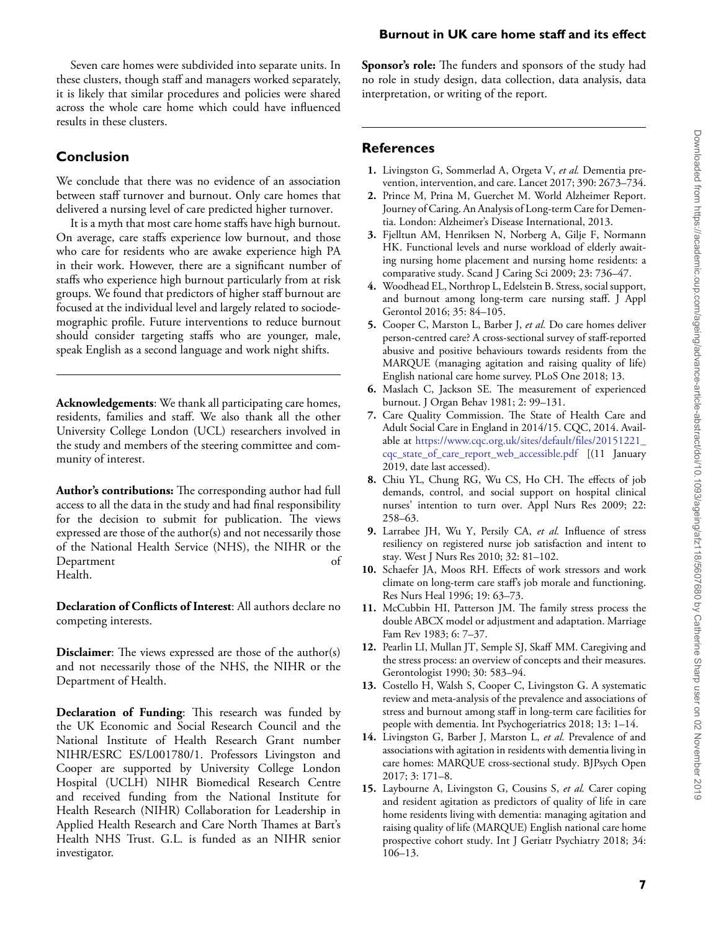# Seven care homes were subdivided into separate units. In these clusters, though staff and managers worked separately, it is likely that similar procedures and policies were shared

# **Conclusion**

results in these clusters.

We conclude that there was no evidence of an association between staff turnover and burnout. Only care homes that delivered a nursing level of care predicted higher turnover.

across the whole care home which could have influenced

It is a myth that most care home staffs have high burnout. On average, care staffs experience low burnout, and those who care for residents who are awake experience high PA in their work. However, there are a significant number of staffs who experience high burnout particularly from at risk groups. We found that predictors of higher staff burnout are focused at the individual level and largely related to sociodemographic profile. Future interventions to reduce burnout should consider targeting staffs who are younger, male, speak English as a second language and work night shifts.

**Acknowledgements**: We thank all participating care homes, residents, families and staff. We also thank all the other University College London (UCL) researchers involved in the study and members of the steering committee and community of interest.

**Author's contributions:** The corresponding author had full access to all the data in the study and had final responsibility for the decision to submit for publication. The views expressed are those of the author(s) and not necessarily those of the National Health Service (NHS), the NIHR or the Department of Health.

**Declaration of Conflicts of Interest**: All authors declare no competing interests.

**Disclaimer**: The views expressed are those of the author(s) and not necessarily those of the NHS, the NIHR or the Department of Health.

**Declaration of Funding**: This research was funded by the UK Economic and Social Research Council and the National Institute of Health Research Grant number NIHR/ESRC ES/L001780/1. Professors Livingston and Cooper are supported by University College London Hospital (UCLH) NIHR Biomedical Research Centre and received funding from the National Institute for Health Research (NIHR) Collaboration for Leadership in Applied Health Research and Care North Thames at Bart's Health NHS Trust. G.L. is funded as an NIHR senior investigator.

**Sponsor's role:** The funders and sponsors of the study had no role in study design, data collection, data analysis, data interpretation, or writing of the report.

**Burnout in UK care home staff and its effect**

# **References**

- <span id="page-6-0"></span>**1.** Livingston G, Sommerlad A, Orgeta V, *et al.* Dementia prevention, intervention, and care. Lancet 2017; 390: 2673–734.
- <span id="page-6-1"></span>**2.** Prince M, Prina M, Guerchet M. World Alzheimer Report. Journey of Caring. An Analysis of Long-term Care for Dementia. London: Alzheimer's Disease International, 2013.
- <span id="page-6-2"></span>**3.** Fjelltun AM, Henriksen N, Norberg A, Gilje F, Normann HK. Functional levels and nurse workload of elderly awaiting nursing home placement and nursing home residents: a comparative study. Scand J Caring Sci 2009; 23: 736–47.
- <span id="page-6-3"></span>**4.** Woodhead EL, Northrop L, Edelstein B. Stress, social support, and burnout among long-term care nursing staff. J Appl Gerontol 2016; 35: 84–105.
- <span id="page-6-4"></span>**5.** Cooper C, Marston L, Barber J, *et al.* Do care homes deliver person-centred care? A cross-sectional survey of staff-reported abusive and positive behaviours towards residents from the MARQUE (managing agitation and raising quality of life) English national care home survey. PLoS One 2018; 13.
- <span id="page-6-5"></span>**6.** Maslach C, Jackson SE. The measurement of experienced burnout. J Organ Behav 1981; 2: 99–131.
- <span id="page-6-6"></span>**7.** Care Quality Commission. The State of Health Care and Adult Social Care in England in 2014/15. CQC, 2014. Available at [https://www.cqc.org.uk/sites/default/files/20151221\\_](https://www.cqc.org.uk/sites/default/files/20151221_cqc_state_of_care_report_web_accessible.pdf) [cqc\\_state\\_of\\_care\\_report\\_web\\_accessible.pdf](https://www.cqc.org.uk/sites/default/files/20151221_cqc_state_of_care_report_web_accessible.pdf) [(11 January 2019, date last accessed).
- <span id="page-6-7"></span>**8.** Chiu YL, Chung RG, Wu CS, Ho CH. The effects of job demands, control, and social support on hospital clinical nurses' intention to turn over. Appl Nurs Res 2009; 22: 258–63.
- **9.** Larrabee JH, Wu Y, Persily CA, *et al.* Influence of stress resiliency on registered nurse job satisfaction and intent to stay. West J Nurs Res 2010; 32: 81–102.
- <span id="page-6-8"></span>**10.** Schaefer JA, Moos RH. Effects of work stressors and work climate on long-term care staff's job morale and functioning. Res Nurs Heal 1996; 19: 63–73.
- <span id="page-6-9"></span>**11.** McCubbin HI, Patterson JM. The family stress process the double ABCX model or adjustment and adaptation. Marriage Fam Rev 1983; 6: 7–37.
- <span id="page-6-10"></span>**12.** Pearlin LI, Mullan JT, Semple SJ, Skaff MM. Caregiving and the stress process: an overview of concepts and their measures. Gerontologist 1990; 30: 583–94.
- <span id="page-6-11"></span>**13.** Costello H, Walsh S, Cooper C, Livingston G. A systematic review and meta-analysis of the prevalence and associations of stress and burnout among staff in long-term care facilities for people with dementia. Int Psychogeriatrics 2018; 13: 1–14.
- <span id="page-6-12"></span>**14.** Livingston G, Barber J, Marston L, *et al.* Prevalence of and associations with agitation in residents with dementia living in care homes: MARQUE cross-sectional study. BJPsych Open 2017; 3: 171–8.
- <span id="page-6-13"></span>**15.** Laybourne A, Livingston G, Cousins S, *et al.* Carer coping and resident agitation as predictors of quality of life in care home residents living with dementia: managing agitation and raising quality of life (MARQUE) English national care home prospective cohort study. Int J Geriatr Psychiatry 2018; 34: 106–13.